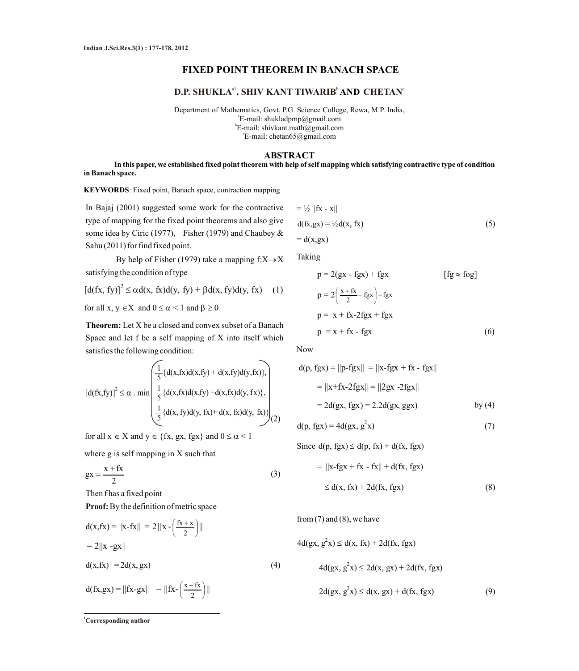## **FIXED POINT THEOREM IN BANACH SPACE**

# $\mathbf{D}.\mathbf{P}.\mathbf{SHUKLA}^{ \text{al} }, \mathbf{SHIV}$  KANT TIWARIB $^{\text{b}}$  AND <code>CHETAN $^{\text{c}}$ </code>

Department of Mathematics, Govt. P.G. Science College, Rewa, M.P. India, a E-mail: shukladpmp@gmail.com b E-mail: shivkant.math@gmail.com c E-mail: chetan65@gmail.com

### **ABSTRACT**

**In this paper, we established fixed point theorem with help of self mapping which satisfying contractive type of condition in Banach space.** 

**KEYWORDS**: Fixed point, Banach space, contraction mapping

In Bajaj (2001) suggested some work for the contractive type of mapping for the fixed point theorems and also give some idea by Ciric (1977), Fisher (1979) and Chaubey & Sahu (2011) for find fixed point.

By help of Fisher (1979) take a mapping  $f: X \rightarrow X$ satisfying the condition of type

 $[d(fx, fy)]^2 \leq \alpha d(x, fx)d(y, fy) + \beta d(x, fy)d(y, fx)$  (1)

for all  $x, y \in X$  and  $0 \le \alpha < 1$  and  $\beta \ge 0$ 

**Theorem:** Let X be a closed and convex subset of a Banach Space and let f be a self mapping of X into itself which satisfies the following condition:

$$
[d(fx, fy)]^2 \leq \alpha \cdot \min\left(\frac{\frac{1}{5} \{d(x, fx)d(x, fy) + d(x, fy)d(y, fx)\}}{\frac{1}{5} \{d(x, fx)d(x, fy) + d(x, fx)d(y, fx)\}}, \frac{1}{5} \{d(x, fy)d(y, fx) + d(x, fx)d(y, fx)\}\right)(2)
$$

for all  $x \in X$  and  $y \in \{fx, gx, fgx\}$  and  $0 \le \alpha \le 1$ 

where g is self mapping in X such that

$$
gx = \frac{x + fx}{2} \tag{3}
$$

Then f has a fixed point

**Proof:** By the definition of metric space

$$
d(x, fx) = ||x - fx|| = 2||x - \left(\frac{fx + x}{2}\right)||
$$
  
= 2||x - gx||  

$$
d(x, fx) = 2d(x, gx)
$$
  

$$
d(fx, gx) = ||fx - gx|| = ||fx - \left(\frac{x + fx}{2}\right)||
$$
 (4)

$$
= \frac{1}{2} ||\mathbf{x} - \mathbf{x}||
$$
  
d(fx, gx) =  $\frac{1}{2}$ d(x, fx)  
= d(x, gx) (5)

Taking

$$
p = 2(gx - fgx) + fgx
$$
 [fg  $\approx$  fog]  
\n
$$
p = 2\left(\frac{x + fx}{2} - fgx\right) + fgx
$$
  
\n
$$
p = x + fx - fgx
$$
 (6)

Now

$$
d(p, fgx) = ||p-fgx|| = ||x-fgx + fx - fgx||
$$
  
=  $||x+fx-2fgx|| = ||2gx -2fgx||$   
=  $2d(gx, fgx) = 2.2d(gx, ggx)$  by (4)

$$
d(p, fgx) = 4d(gx, g2x)
$$
 (7)

Since 
$$
d(p, fgx) \leq d(p, fx) + d(fx, fgx)
$$
  
=  $||x - fgx + fx - fx|| + d(fx, fgx)$ 

$$
\leq d(x, fx) + 2d(fx, fgx) \tag{8}
$$

from  $(7)$  and  $(8)$ , we have

$$
4d(gx, g2x) \le d(x, fx) + 2d(fx, fgx)
$$
  

$$
4d(gx, g2x) \le 2d(x, gx) + 2d(fx, fgx)
$$
  

$$
2d(gx, g2x) \le d(x, gx) + d(fx, fgx)
$$
 (9)

**<sup>1</sup>Corresponding author**